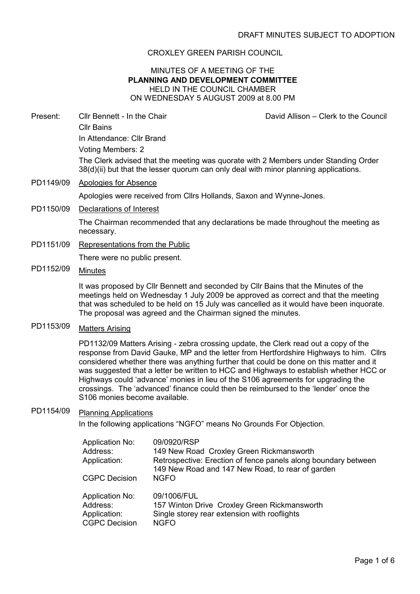### CROXLEY GREEN PARISH COUNCIL

### MINUTES OF A MEETING OF THE PLANNING AND DEVELOPMENT COMMITTEE HELD IN THE COUNCIL CHAMBER ON WEDNESDAY 5 AUGUST 2009 at 8.00 PM

Present: Cllr Bennett - In the Chair David Allison – Clerk to the Council Cllr Bains In Attendance: Cllr Brand Voting Members: 2 The Clerk advised that the meeting was quorate with 2 Members under Standing Order 38(d)(ii) but that the lesser quorum can only deal with minor planning applications.

PD1149/09 Apologies for Absence

Apologies were received from Cllrs Hollands, Saxon and Wynne-Jones.

PD1150/09 Declarations of Interest

The Chairman recommended that any declarations be made throughout the meeting as necessary.

PD1151/09 Representations from the Public

There were no public present.

PD1152/09 Minutes

It was proposed by Cllr Bennett and seconded by Cllr Bains that the Minutes of the meetings held on Wednesday 1 July 2009 be approved as correct and that the meeting that was scheduled to be held on 15 July was cancelled as it would have been inquorate. The proposal was agreed and the Chairman signed the minutes.

PD1153/09 Matters Arising

PD1132/09 Matters Arising - zebra crossing update, the Clerk read out a copy of the response from David Gauke, MP and the letter from Hertfordshire Highways to him. Cllrs considered whether there was anything further that could be done on this matter and it was suggested that a letter be written to HCC and Highways to establish whether HCC or Highways could 'advance' monies in lieu of the S106 agreements for upgrading the crossings. The 'advanced' finance could then be reimbursed to the 'lender' once the S106 monies become available.

# PD1154/09 Planning Applications

In the following applications "NGFO" means No Grounds For Objection.

| <b>Application No:</b><br>Address:<br>Application:<br><b>CGPC Decision</b> | 09/0920/RSP<br>149 New Road Croxley Green Rickmansworth<br>Retrospective: Erection of fence panels along boundary between<br>149 New Road and 147 New Road, to rear of garden<br><b>NGFO</b> |
|----------------------------------------------------------------------------|----------------------------------------------------------------------------------------------------------------------------------------------------------------------------------------------|
| <b>Application No:</b>                                                     | 09/1006/FUL                                                                                                                                                                                  |
| Address:                                                                   | 157 Winton Drive Croxley Green Rickmansworth                                                                                                                                                 |
| Application:                                                               | Single storey rear extension with rooflights                                                                                                                                                 |
| <b>CGPC Decision</b>                                                       | <b>NGFO</b>                                                                                                                                                                                  |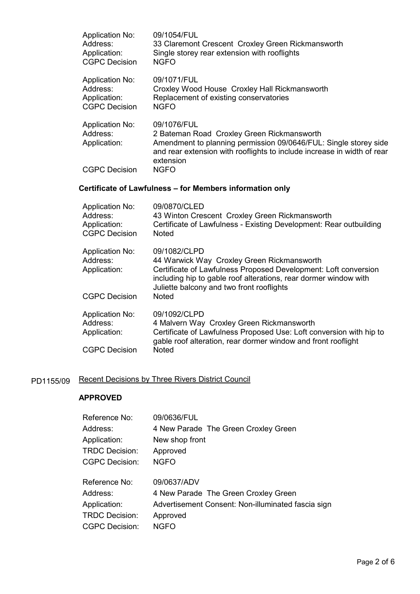| <b>Application No:</b><br>Address:<br>Application:<br><b>CGPC Decision</b> | 09/1054/FUL<br>33 Claremont Crescent Croxley Green Rickmansworth<br>Single storey rear extension with rooflights<br><b>NGFO</b>                                                                                                                |  |
|----------------------------------------------------------------------------|------------------------------------------------------------------------------------------------------------------------------------------------------------------------------------------------------------------------------------------------|--|
| <b>Application No:</b><br>Address:<br>Application:<br><b>CGPC Decision</b> | 09/1071/FUL<br>Croxley Wood House Croxley Hall Rickmansworth<br>Replacement of existing conservatories<br><b>NGFO</b>                                                                                                                          |  |
| <b>Application No:</b><br>Address:<br>Application:                         | 09/1076/FUL<br>2 Bateman Road Croxley Green Rickmansworth<br>Amendment to planning permission 09/0646/FUL: Single storey side<br>and rear extension with rooflights to include increase in width of rear<br>extension                          |  |
| <b>CGPC Decision</b>                                                       | <b>NGFO</b>                                                                                                                                                                                                                                    |  |
| Certificate of Lawfulness – for Members information only                   |                                                                                                                                                                                                                                                |  |
| <b>Application No:</b><br>Address:<br>Application:<br><b>CGPC Decision</b> | 09/0870/CLED<br>43 Winton Crescent Croxley Green Rickmansworth<br>Certificate of Lawfulness - Existing Development: Rear outbuilding<br><b>Noted</b>                                                                                           |  |
| <b>Application No:</b><br>Address:<br>Application:<br><b>CGPC Decision</b> | 09/1082/CLPD<br>44 Warwick Way Croxley Green Rickmansworth<br>Certificate of Lawfulness Proposed Development: Loft conversion<br>including hip to gable roof alterations, rear dormer window with<br>Juliette balcony and two front rooflights |  |
|                                                                            |                                                                                                                                                                                                                                                |  |
|                                                                            | <b>Noted</b>                                                                                                                                                                                                                                   |  |

| Address:             | 4 Malvern Way Croxley Green Rickmansworth                                     |
|----------------------|-------------------------------------------------------------------------------|
| Application:         | Certificate of Lawfulness Proposed Use: Loft conversion with hip to           |
| <b>CGPC Decision</b> | gable roof alteration, rear dormer window and front rooflight<br><b>Noted</b> |
|                      |                                                                               |

# PD1155/09 Recent Decisions by Three Rivers District Council

## APPROVED

| Reference No:         | 09/0636/FUL                                        |
|-----------------------|----------------------------------------------------|
| Address:              | 4 New Parade The Green Croxley Green               |
| Application:          | New shop front                                     |
| <b>TRDC Decision:</b> | Approved                                           |
| <b>CGPC Decision:</b> | <b>NGFO</b>                                        |
| Reference No:         | 09/0637/ADV                                        |
| Address:              | 4 New Parade The Green Croxley Green               |
| Application:          | Advertisement Consent: Non-illuminated fascia sign |
| <b>TRDC Decision:</b> | Approved                                           |
| <b>CGPC Decision:</b> | NGFO                                               |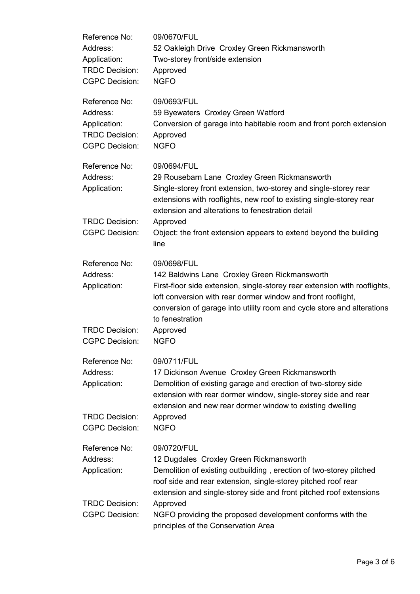| Reference No:<br>Address:<br>Application:<br><b>TRDC Decision:</b><br><b>CGPC Decision:</b> | 09/0670/FUL<br>52 Oakleigh Drive Croxley Green Rickmansworth<br>Two-storey front/side extension<br>Approved<br><b>NGFO</b>                                                                                                                                                                                                                           |
|---------------------------------------------------------------------------------------------|------------------------------------------------------------------------------------------------------------------------------------------------------------------------------------------------------------------------------------------------------------------------------------------------------------------------------------------------------|
| Reference No:<br>Address:<br>Application:<br><b>TRDC Decision:</b><br><b>CGPC Decision:</b> | 09/0693/FUL<br>59 Byewaters Croxley Green Watford<br>Conversion of garage into habitable room and front porch extension<br>Approved<br><b>NGFO</b>                                                                                                                                                                                                   |
| Reference No:<br>Address:<br>Application:<br><b>TRDC Decision:</b><br><b>CGPC Decision:</b> | 09/0694/FUL<br>29 Rousebarn Lane Croxley Green Rickmansworth<br>Single-storey front extension, two-storey and single-storey rear<br>extensions with rooflights, new roof to existing single-storey rear<br>extension and alterations to fenestration detail<br>Approved<br>Object: the front extension appears to extend beyond the building<br>line |
| Reference No:<br>Address:<br>Application:<br><b>TRDC Decision:</b><br><b>CGPC Decision:</b> | 09/0698/FUL<br>142 Baldwins Lane Croxley Green Rickmansworth<br>First-floor side extension, single-storey rear extension with rooflights,<br>loft conversion with rear dormer window and front rooflight,<br>conversion of garage into utility room and cycle store and alterations<br>to fenestration<br>Approved<br><b>NGFO</b>                    |
| Reference No:<br>Address:<br>Application:<br><b>TRDC Decision:</b><br><b>CGPC Decision:</b> | 09/0711/FUL<br>17 Dickinson Avenue Croxley Green Rickmansworth<br>Demolition of existing garage and erection of two-storey side<br>extension with rear dormer window, single-storey side and rear<br>extension and new rear dormer window to existing dwelling<br>Approved<br><b>NGFO</b>                                                            |
| Reference No:<br>Address:<br>Application:<br><b>TRDC Decision:</b>                          | 09/0720/FUL<br>12 Dugdales Croxley Green Rickmansworth<br>Demolition of existing outbuilding, erection of two-storey pitched<br>roof side and rear extension, single-storey pitched roof rear<br>extension and single-storey side and front pitched roof extensions<br>Approved                                                                      |
| <b>CGPC Decision:</b>                                                                       | NGFO providing the proposed development conforms with the<br>principles of the Conservation Area                                                                                                                                                                                                                                                     |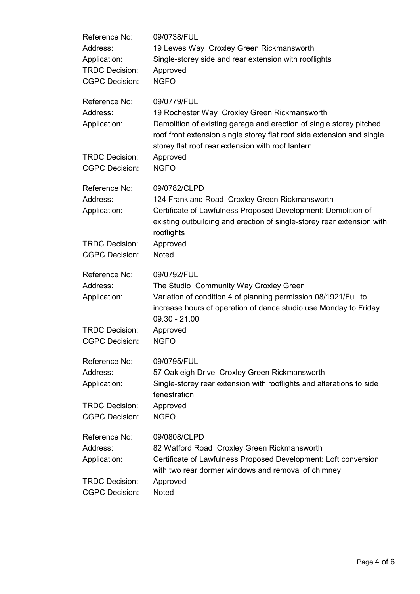| Reference No:<br>Address:<br>Application:<br><b>TRDC Decision:</b><br><b>CGPC Decision:</b> | 09/0738/FUL<br>19 Lewes Way Croxley Green Rickmansworth<br>Single-storey side and rear extension with rooflights<br>Approved<br><b>NGFO</b>                                                                                                                                   |
|---------------------------------------------------------------------------------------------|-------------------------------------------------------------------------------------------------------------------------------------------------------------------------------------------------------------------------------------------------------------------------------|
| Reference No:<br>Address:<br>Application:<br><b>TRDC Decision:</b>                          | 09/0779/FUL<br>19 Rochester Way Croxley Green Rickmansworth<br>Demolition of existing garage and erection of single storey pitched<br>roof front extension single storey flat roof side extension and single<br>storey flat roof rear extension with roof lantern<br>Approved |
| <b>CGPC Decision:</b>                                                                       | <b>NGFO</b>                                                                                                                                                                                                                                                                   |
| Reference No:<br>Address:<br>Application:                                                   | 09/0782/CLPD<br>124 Frankland Road Croxley Green Rickmansworth<br>Certificate of Lawfulness Proposed Development: Demolition of<br>existing outbuilding and erection of single-storey rear extension with<br>rooflights                                                       |
| <b>TRDC Decision:</b><br><b>CGPC Decision:</b>                                              | Approved<br><b>Noted</b>                                                                                                                                                                                                                                                      |
| Reference No:<br>Address:<br>Application:                                                   | 09/0792/FUL<br>The Studio Community Way Croxley Green<br>Variation of condition 4 of planning permission 08/1921/Ful: to<br>increase hours of operation of dance studio use Monday to Friday<br>$09.30 - 21.00$                                                               |
| <b>TRDC Decision:</b><br><b>CGPC Decision:</b>                                              | Approved<br><b>NGFO</b>                                                                                                                                                                                                                                                       |
| Reference No:<br>Address:<br>Application:                                                   | 09/0795/FUL<br>57 Oakleigh Drive Croxley Green Rickmansworth<br>Single-storey rear extension with rooflights and alterations to side<br>fenestration                                                                                                                          |
| <b>TRDC Decision:</b><br><b>CGPC Decision:</b>                                              | Approved<br><b>NGFO</b>                                                                                                                                                                                                                                                       |
| Reference No:<br>Address:<br>Application:                                                   | 09/0808/CLPD<br>82 Watford Road Croxley Green Rickmansworth<br>Certificate of Lawfulness Proposed Development: Loft conversion<br>with two rear dormer windows and removal of chimney                                                                                         |
| <b>TRDC Decision:</b><br><b>CGPC Decision:</b>                                              | Approved<br><b>Noted</b>                                                                                                                                                                                                                                                      |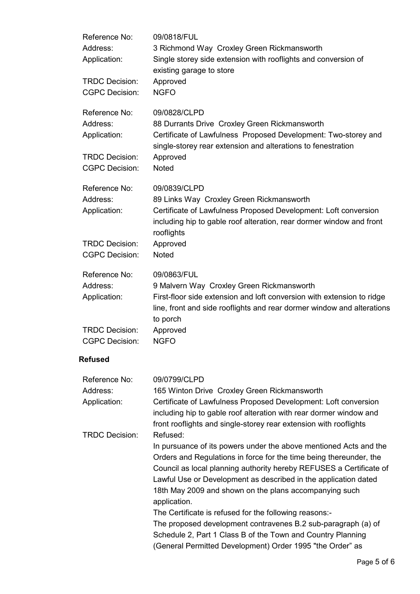| Reference No:<br>Address:<br>Application:                          | 09/0818/FUL<br>3 Richmond Way Croxley Green Rickmansworth<br>Single storey side extension with rooflights and conversion of<br>existing garage to store                                                                                                                                                                                                                                                                                                                                                                                                                                                            |
|--------------------------------------------------------------------|--------------------------------------------------------------------------------------------------------------------------------------------------------------------------------------------------------------------------------------------------------------------------------------------------------------------------------------------------------------------------------------------------------------------------------------------------------------------------------------------------------------------------------------------------------------------------------------------------------------------|
| <b>TRDC Decision:</b><br><b>CGPC Decision:</b>                     | Approved<br><b>NGFO</b>                                                                                                                                                                                                                                                                                                                                                                                                                                                                                                                                                                                            |
| Reference No:<br>Address:<br>Application:                          | 09/0828/CLPD<br>88 Durrants Drive Croxley Green Rickmansworth<br>Certificate of Lawfulness Proposed Development: Two-storey and<br>single-storey rear extension and alterations to fenestration                                                                                                                                                                                                                                                                                                                                                                                                                    |
| <b>TRDC Decision:</b><br><b>CGPC Decision:</b>                     | Approved<br>Noted                                                                                                                                                                                                                                                                                                                                                                                                                                                                                                                                                                                                  |
| Reference No:<br>Address:<br>Application:                          | 09/0839/CLPD<br>89 Links Way Croxley Green Rickmansworth<br>Certificate of Lawfulness Proposed Development: Loft conversion<br>including hip to gable roof alteration, rear dormer window and front<br>rooflights                                                                                                                                                                                                                                                                                                                                                                                                  |
| <b>TRDC Decision:</b><br><b>CGPC Decision:</b>                     | Approved<br><b>Noted</b>                                                                                                                                                                                                                                                                                                                                                                                                                                                                                                                                                                                           |
| Reference No:<br>Address:<br>Application:                          | 09/0863/FUL<br>9 Malvern Way Croxley Green Rickmansworth<br>First-floor side extension and loft conversion with extension to ridge<br>line, front and side rooflights and rear dormer window and alterations<br>to porch                                                                                                                                                                                                                                                                                                                                                                                           |
| <b>TRDC Decision:</b><br><b>CGPC Decision:</b>                     | Approved<br><b>NGFO</b>                                                                                                                                                                                                                                                                                                                                                                                                                                                                                                                                                                                            |
| <b>Refused</b>                                                     |                                                                                                                                                                                                                                                                                                                                                                                                                                                                                                                                                                                                                    |
| Reference No:<br>Address:<br>Application:<br><b>TRDC Decision:</b> | 09/0799/CLPD<br>165 Winton Drive Croxley Green Rickmansworth<br>Certificate of Lawfulness Proposed Development: Loft conversion<br>including hip to gable roof alteration with rear dormer window and<br>front rooflights and single-storey rear extension with rooflights<br>Refused:                                                                                                                                                                                                                                                                                                                             |
|                                                                    | In pursuance of its powers under the above mentioned Acts and the<br>Orders and Regulations in force for the time being thereunder, the<br>Council as local planning authority hereby REFUSES a Certificate of<br>Lawful Use or Development as described in the application dated<br>18th May 2009 and shown on the plans accompanying such<br>application.<br>The Certificate is refused for the following reasons:-<br>The proposed development contravenes B.2 sub-paragraph (a) of<br>Schedule 2, Part 1 Class B of the Town and Country Planning<br>(General Permitted Development) Order 1995 "the Order" as |